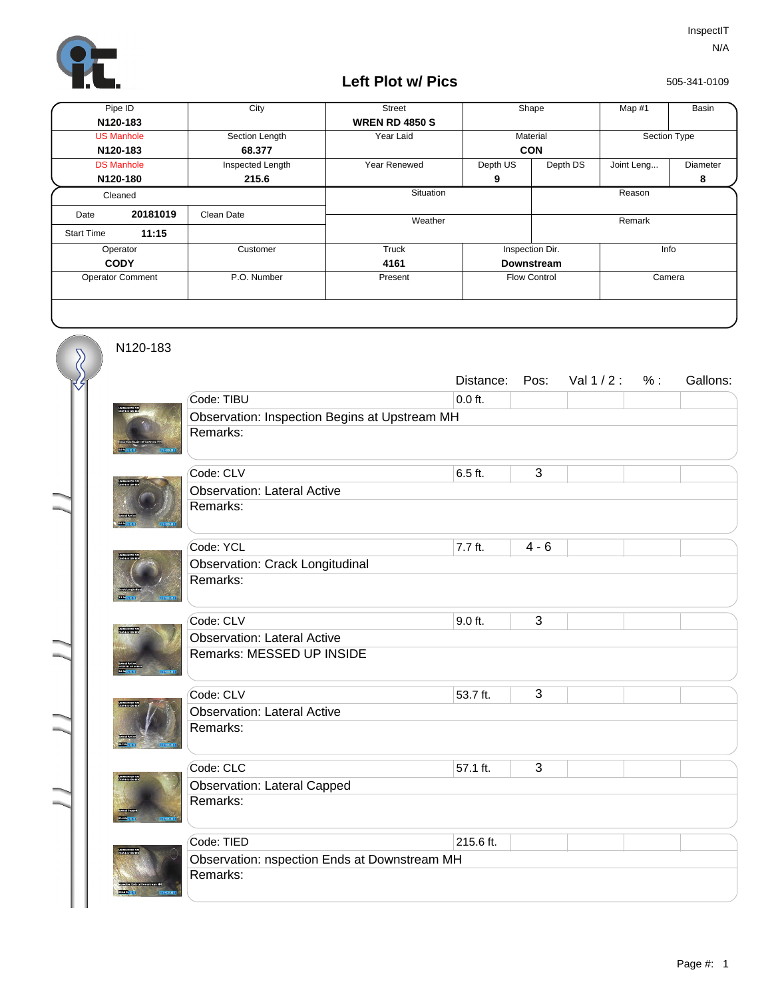

## **Left Plot w/ Pics**

505-341-0109

| Pipe ID                 |          | City             | <b>Street</b>         |                               | Shape<br>Map #1         |              | Basin           |
|-------------------------|----------|------------------|-----------------------|-------------------------------|-------------------------|--------------|-----------------|
| N120-183                |          |                  | <b>WREN RD 4850 S</b> |                               |                         |              |                 |
| <b>US Manhole</b>       |          | Section Length   | Year Laid             | Material                      |                         | Section Type |                 |
| N120-183                |          | 68.377           |                       | <b>CON</b>                    |                         |              |                 |
| <b>DS Manhole</b>       |          | Inspected Length | Year Renewed          | Depth US                      | Depth DS                | Joint Leng   | <b>Diameter</b> |
| N120-180                |          | 215.6            |                       | 9                             |                         |              | 8               |
| Cleaned                 |          |                  | Situation             |                               | Reason                  |              |                 |
| Date                    | 20181019 | Clean Date       | Weather               |                               |                         | Remark       |                 |
| <b>Start Time</b>       | 11:15    |                  |                       |                               |                         |              |                 |
| Operator                |          | Customer         | Truck                 |                               | Info<br>Inspection Dir. |              |                 |
| <b>CODY</b>             |          |                  | 4161                  |                               | <b>Downstream</b>       |              |                 |
| <b>Operator Comment</b> |          | P.O. Number      | Present               | <b>Flow Control</b><br>Camera |                         |              |                 |
|                         |          |                  |                       |                               |                         |              |                 |

N120-183

 $\overline{\mathcal{S}}$ 

|  |                                               | Distance: | Pos:    | Val 1/2: | % : | Gallons: |  |  |  |
|--|-----------------------------------------------|-----------|---------|----------|-----|----------|--|--|--|
|  | Code: TIBU                                    | $0.0$ ft. |         |          |     |          |  |  |  |
|  | Observation: Inspection Begins at Upstream MH |           |         |          |     |          |  |  |  |
|  | Remarks:                                      |           |         |          |     |          |  |  |  |
|  | Code: CLV                                     | 6.5 ft.   | 3       |          |     |          |  |  |  |
|  | <b>Observation: Lateral Active</b>            |           |         |          |     |          |  |  |  |
|  | Remarks:                                      |           |         |          |     |          |  |  |  |
|  | Code: YCL                                     | 7.7 ft.   | $4 - 6$ |          |     |          |  |  |  |
|  | <b>Observation: Crack Longitudinal</b>        |           |         |          |     |          |  |  |  |
|  | Remarks:                                      |           |         |          |     |          |  |  |  |
|  | Code: CLV                                     | 9.0 ft.   | 3       |          |     |          |  |  |  |
|  | <b>Observation: Lateral Active</b>            |           |         |          |     |          |  |  |  |
|  | Remarks: MESSED UP INSIDE                     |           |         |          |     |          |  |  |  |
|  | Code: CLV                                     | 53.7 ft.  | 3       |          |     |          |  |  |  |
|  | <b>Observation: Lateral Active</b>            |           |         |          |     |          |  |  |  |
|  | Remarks:                                      |           |         |          |     |          |  |  |  |
|  | Code: CLC                                     | 57.1 ft.  | 3       |          |     |          |  |  |  |
|  | <b>Observation: Lateral Capped</b>            |           |         |          |     |          |  |  |  |
|  | Remarks:                                      |           |         |          |     |          |  |  |  |
|  | Code: TIED                                    | 215.6 ft. |         |          |     |          |  |  |  |
|  | Observation: nspection Ends at Downstream MH  |           |         |          |     |          |  |  |  |
|  | Remarks:                                      |           |         |          |     |          |  |  |  |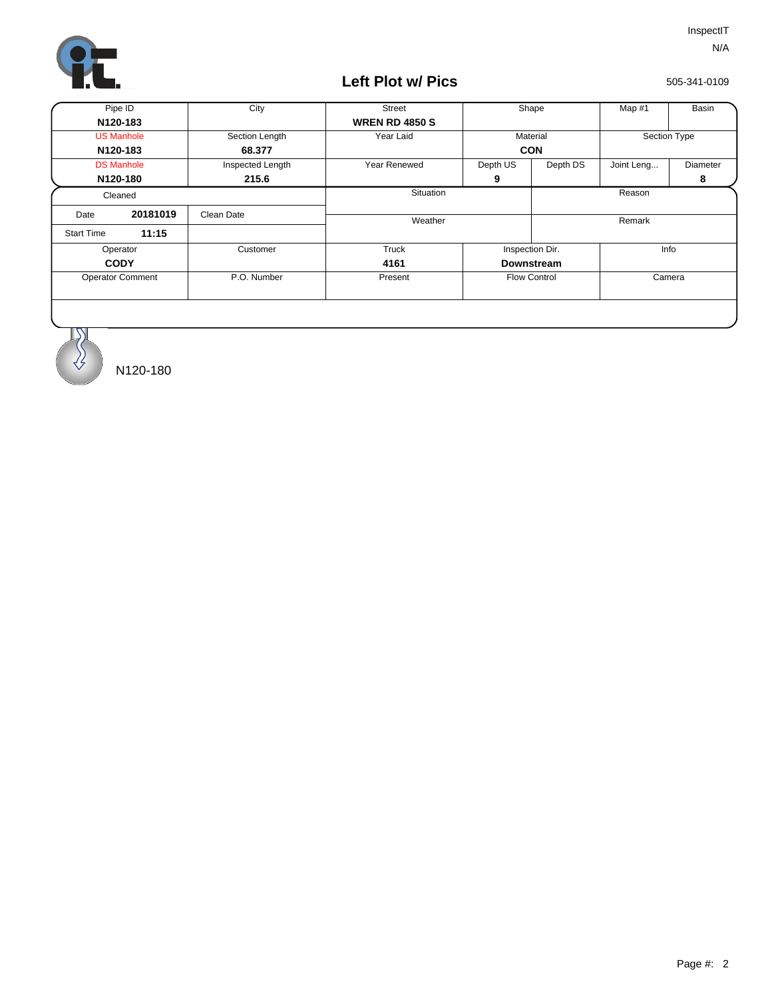

## **Left Plot w/ Pics**

505-341-0109

| Pipe ID                 |          | City             | <b>Street</b>         |            | Shape<br>Map #1         |              | Basin    |  |
|-------------------------|----------|------------------|-----------------------|------------|-------------------------|--------------|----------|--|
| N120-183                |          |                  | <b>WREN RD 4850 S</b> |            |                         |              |          |  |
| <b>US Manhole</b>       |          | Section Length   | Year Laid             | Material   |                         | Section Type |          |  |
| N120-183                |          | 68.377           |                       | <b>CON</b> |                         |              |          |  |
| <b>DS Manhole</b>       |          | Inspected Length | <b>Year Renewed</b>   | Depth US   | Depth DS                | Joint Leng   | Diameter |  |
| N120-180                |          | 215.6            |                       | 9          |                         |              | 8        |  |
| Cleaned                 |          |                  | <b>Situation</b>      |            | Reason                  |              |          |  |
| Date                    | 20181019 | Clean Date       | Weather               |            |                         |              | Remark   |  |
| <b>Start Time</b>       | 11:15    |                  |                       |            |                         |              |          |  |
| Operator                |          | Customer         | Truck                 |            | Info<br>Inspection Dir. |              |          |  |
| <b>CODY</b>             |          |                  | 4161                  |            | <b>Downstream</b>       |              |          |  |
| <b>Operator Comment</b> |          | P.O. Number      | Present               |            | <b>Flow Control</b>     |              | Camera   |  |
|                         |          |                  |                       |            |                         |              |          |  |



N120-180